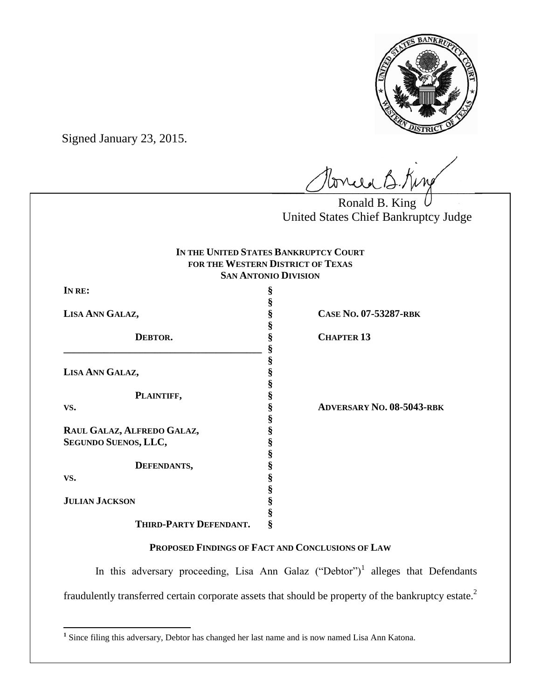

Signed January 23, 2015.

tonie B. King

Ronald B. King United States Chief Bankruptcy Judge

| IN THE UNITED STATES BANKRUPTCY COURT |
|---------------------------------------|
| FOR THE WESTERN DISTRICT OF TEXAS     |
| <b>SAN ANTONIO DIVISION</b>           |

**§**

**§**

**§**

**§**

**§**

**§**

**§**

**§**

| IN RE: |  |
|--------|--|
|--------|--|

**DEBTOR. § CHAPTER 13 \_\_\_\_\_\_\_\_\_\_\_\_\_\_\_\_\_\_\_\_\_\_\_\_\_\_\_\_\_\_\_\_\_\_\_\_\_\_\_ §**

**LISA ANN GALAZ, §**

**PLAINTIFF, §**

**RAUL GALAZ, ALFREDO GALAZ, § SEGUNDO SUENOS, LLC, §**

**DEFENDANTS, §**

**VS. §**

**LISA ANN GALAZ, § CASE NO. 07-53287-RBK**

**VS. § ADVERSARY NO. 08-5043-RBK**

# **JULIAN JACKSON §**

**THIRD-PARTY DEFENDANT. §**

# **PROPOSED FINDINGS OF FACT AND CONCLUSIONS OF LAW**

In this adversary proceeding, Lisa Ann Galaz ("Debtor")<sup>1</sup> alleges that Defendants fraudulently transferred certain corporate assets that should be property of the bankruptcy estate.<sup>2</sup>

<sup>&</sup>lt;sup>1</sup> Since filing this adversary, Debtor has changed her last name and is now named Lisa Ann Katona.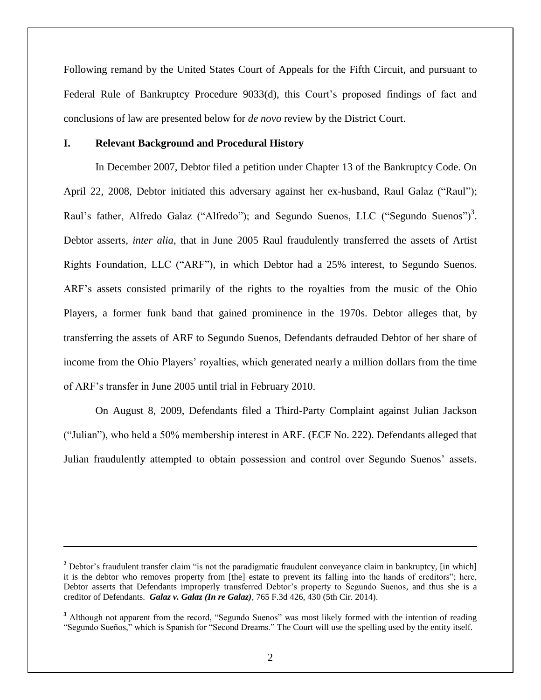Following remand by the United States Court of Appeals for the Fifth Circuit, and pursuant to Federal Rule of Bankruptcy Procedure 9033(d), this Court's proposed findings of fact and conclusions of law are presented below for *de novo* review by the District Court.

### **I. Relevant Background and Procedural History**

 $\overline{\phantom{a}}$ 

In December 2007, Debtor filed a petition under Chapter 13 of the Bankruptcy Code. On April 22, 2008, Debtor initiated this adversary against her ex-husband, Raul Galaz ("Raul"); Raul's father, Alfredo Galaz ("Alfredo"); and Segundo Suenos, LLC ("Segundo Suenos")<sup>3</sup>. Debtor asserts, *inter alia*, that in June 2005 Raul fraudulently transferred the assets of Artist Rights Foundation, LLC ("ARF"), in which Debtor had a 25% interest, to Segundo Suenos. ARF's assets consisted primarily of the rights to the royalties from the music of the Ohio Players, a former funk band that gained prominence in the 1970s. Debtor alleges that, by transferring the assets of ARF to Segundo Suenos, Defendants defrauded Debtor of her share of income from the Ohio Players' royalties, which generated nearly a million dollars from the time of ARF's transfer in June 2005 until trial in February 2010.

On August 8, 2009, Defendants filed a Third-Party Complaint against Julian Jackson ("Julian"), who held a 50% membership interest in ARF. (ECF No. 222). Defendants alleged that Julian fraudulently attempted to obtain possession and control over Segundo Suenos' assets.

<sup>&</sup>lt;sup>2</sup> Debtor's fraudulent transfer claim "is not the paradigmatic fraudulent conveyance claim in bankruptcy, [in which] it is the debtor who removes property from [the] estate to prevent its falling into the hands of creditors"; here, Debtor asserts that Defendants improperly transferred Debtor's property to Segundo Suenos, and thus she is a creditor of Defendants. *Galaz v. Galaz (In re Galaz)*, 765 F.3d 426, 430 (5th Cir. 2014).

<sup>&</sup>lt;sup>3</sup> Although not apparent from the record, "Segundo Suenos" was most likely formed with the intention of reading "Segundo Sueños," which is Spanish for "Second Dreams." The Court will use the spelling used by the entity itself.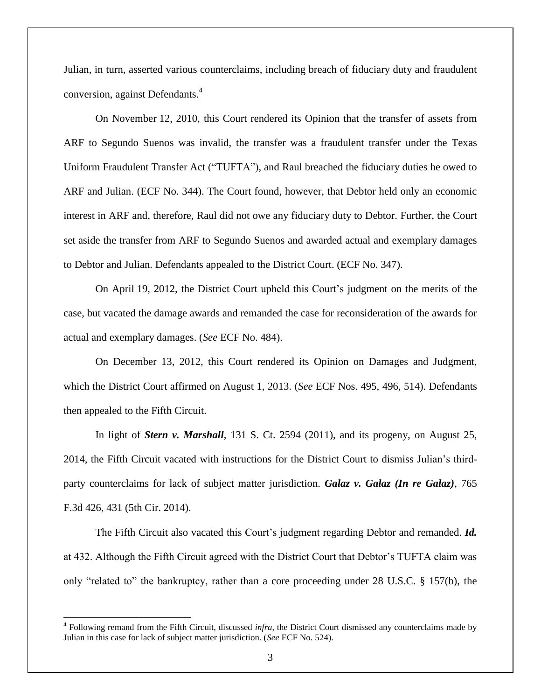Julian, in turn, asserted various counterclaims, including breach of fiduciary duty and fraudulent conversion, against Defendants.<sup>4</sup>

On November 12, 2010, this Court rendered its Opinion that the transfer of assets from ARF to Segundo Suenos was invalid, the transfer was a fraudulent transfer under the Texas Uniform Fraudulent Transfer Act ("TUFTA"), and Raul breached the fiduciary duties he owed to ARF and Julian. (ECF No. 344). The Court found, however, that Debtor held only an economic interest in ARF and, therefore, Raul did not owe any fiduciary duty to Debtor. Further, the Court set aside the transfer from ARF to Segundo Suenos and awarded actual and exemplary damages to Debtor and Julian. Defendants appealed to the District Court. (ECF No. 347).

On April 19, 2012, the District Court upheld this Court's judgment on the merits of the case, but vacated the damage awards and remanded the case for reconsideration of the awards for actual and exemplary damages. (*See* ECF No. 484).

On December 13, 2012, this Court rendered its Opinion on Damages and Judgment, which the District Court affirmed on August 1, 2013. (*See* ECF Nos. 495, 496, 514). Defendants then appealed to the Fifth Circuit.

In light of *Stern v. Marshall*, 131 S. Ct. 2594 (2011), and its progeny, on August 25, 2014, the Fifth Circuit vacated with instructions for the District Court to dismiss Julian's thirdparty counterclaims for lack of subject matter jurisdiction. *Galaz v. Galaz (In re Galaz)*, 765 F.3d 426, 431 (5th Cir. 2014).

The Fifth Circuit also vacated this Court's judgment regarding Debtor and remanded. *Id.* at 432. Although the Fifth Circuit agreed with the District Court that Debtor's TUFTA claim was only "related to" the bankruptcy, rather than a core proceeding under 28 U.S.C. § 157(b), the

 $\overline{a}$ 

**<sup>4</sup>** Following remand from the Fifth Circuit, discussed *infra*, the District Court dismissed any counterclaims made by Julian in this case for lack of subject matter jurisdiction. (*See* ECF No. 524).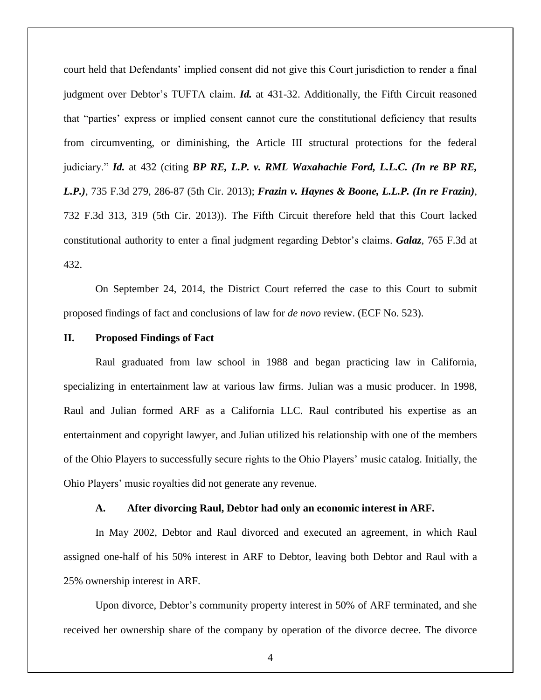court held that Defendants' implied consent did not give this Court jurisdiction to render a final judgment over Debtor's TUFTA claim. *Id.* at 431-32. Additionally, the Fifth Circuit reasoned that "parties' express or implied consent cannot cure the constitutional deficiency that results from circumventing, or diminishing, the Article III structural protections for the federal judiciary." *Id.* at 432 (citing *BP RE, L.P. v. RML Waxahachie Ford, L.L.C.* (*In re BP RE, L.P.)*, 735 F.3d 279, 286-87 (5th Cir. 2013); *Frazin v. Haynes & Boone, L.L.P. (In re Frazin)*, 732 F.3d 313, 319 (5th Cir. 2013)). The Fifth Circuit therefore held that this Court lacked constitutional authority to enter a final judgment regarding Debtor's claims. *Galaz*, 765 F.3d at 432.

On September 24, 2014, the District Court referred the case to this Court to submit proposed findings of fact and conclusions of law for *de novo* review. (ECF No. 523).

### **II. Proposed Findings of Fact**

Raul graduated from law school in 1988 and began practicing law in California, specializing in entertainment law at various law firms. Julian was a music producer. In 1998, Raul and Julian formed ARF as a California LLC. Raul contributed his expertise as an entertainment and copyright lawyer, and Julian utilized his relationship with one of the members of the Ohio Players to successfully secure rights to the Ohio Players' music catalog. Initially, the Ohio Players' music royalties did not generate any revenue.

### **A. After divorcing Raul, Debtor had only an economic interest in ARF.**

In May 2002, Debtor and Raul divorced and executed an agreement, in which Raul assigned one-half of his 50% interest in ARF to Debtor, leaving both Debtor and Raul with a 25% ownership interest in ARF.

Upon divorce, Debtor's community property interest in 50% of ARF terminated, and she received her ownership share of the company by operation of the divorce decree. The divorce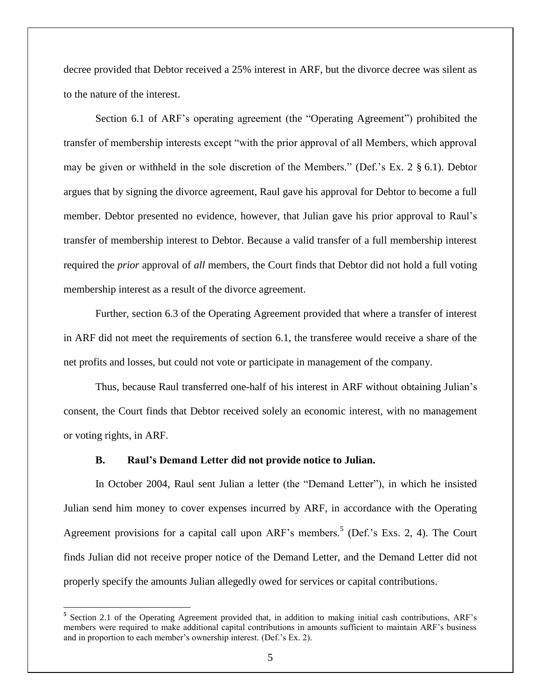decree provided that Debtor received a 25% interest in ARF, but the divorce decree was silent as to the nature of the interest.

Section 6.1 of ARF's operating agreement (the "Operating Agreement") prohibited the transfer of membership interests except "with the prior approval of all Members, which approval may be given or withheld in the sole discretion of the Members." (Def.'s Ex. 2 § 6.1). Debtor argues that by signing the divorce agreement, Raul gave his approval for Debtor to become a full member. Debtor presented no evidence, however, that Julian gave his prior approval to Raul's transfer of membership interest to Debtor. Because a valid transfer of a full membership interest required the *prior* approval of *all* members, the Court finds that Debtor did not hold a full voting membership interest as a result of the divorce agreement.

Further, section 6.3 of the Operating Agreement provided that where a transfer of interest in ARF did not meet the requirements of section 6.1, the transferee would receive a share of the net profits and losses, but could not vote or participate in management of the company.

Thus, because Raul transferred one-half of his interest in ARF without obtaining Julian's consent, the Court finds that Debtor received solely an economic interest, with no management or voting rights, in ARF.

### **B. Raul's Demand Letter did not provide notice to Julian.**

 $\overline{\phantom{a}}$ 

In October 2004, Raul sent Julian a letter (the "Demand Letter"), in which he insisted Julian send him money to cover expenses incurred by ARF, in accordance with the Operating Agreement provisions for a capital call upon ARF's members.<sup>5</sup> (Def.'s Exs. 2, 4). The Court finds Julian did not receive proper notice of the Demand Letter, and the Demand Letter did not properly specify the amounts Julian allegedly owed for services or capital contributions.

<sup>&</sup>lt;sup>5</sup> Section 2.1 of the Operating Agreement provided that, in addition to making initial cash contributions, ARF's members were required to make additional capital contributions in amounts sufficient to maintain ARF's business and in proportion to each member's ownership interest. (Def.'s Ex. 2).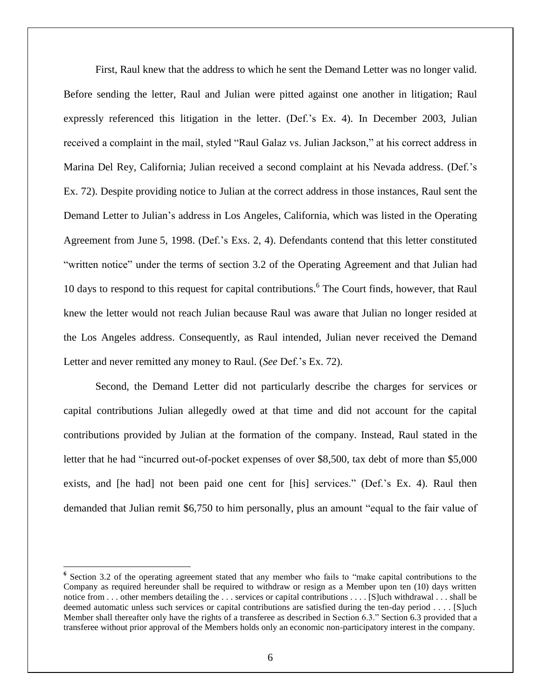First, Raul knew that the address to which he sent the Demand Letter was no longer valid. Before sending the letter, Raul and Julian were pitted against one another in litigation; Raul expressly referenced this litigation in the letter. (Def.'s Ex. 4). In December 2003, Julian received a complaint in the mail, styled "Raul Galaz vs. Julian Jackson," at his correct address in Marina Del Rey, California; Julian received a second complaint at his Nevada address. (Def.'s Ex. 72). Despite providing notice to Julian at the correct address in those instances, Raul sent the Demand Letter to Julian's address in Los Angeles, California, which was listed in the Operating Agreement from June 5, 1998. (Def.'s Exs. 2, 4). Defendants contend that this letter constituted "written notice" under the terms of section 3.2 of the Operating Agreement and that Julian had 10 days to respond to this request for capital contributions.<sup>6</sup> The Court finds, however, that Raul knew the letter would not reach Julian because Raul was aware that Julian no longer resided at the Los Angeles address. Consequently, as Raul intended, Julian never received the Demand Letter and never remitted any money to Raul. (*See* Def.'s Ex. 72).

Second, the Demand Letter did not particularly describe the charges for services or capital contributions Julian allegedly owed at that time and did not account for the capital contributions provided by Julian at the formation of the company. Instead, Raul stated in the letter that he had "incurred out-of-pocket expenses of over \$8,500, tax debt of more than \$5,000 exists, and [he had] not been paid one cent for [his] services." (Def.'s Ex. 4). Raul then demanded that Julian remit \$6,750 to him personally, plus an amount "equal to the fair value of

 $\overline{\phantom{a}}$ 

<sup>&</sup>lt;sup>6</sup> Section 3.2 of the operating agreement stated that any member who fails to "make capital contributions to the Company as required hereunder shall be required to withdraw or resign as a Member upon ten (10) days written notice from . . . other members detailing the . . . services or capital contributions . . . . [S]uch withdrawal . . . shall be deemed automatic unless such services or capital contributions are satisfied during the ten-day period . . . . [S]uch Member shall thereafter only have the rights of a transferee as described in Section 6.3." Section 6.3 provided that a transferee without prior approval of the Members holds only an economic non-participatory interest in the company.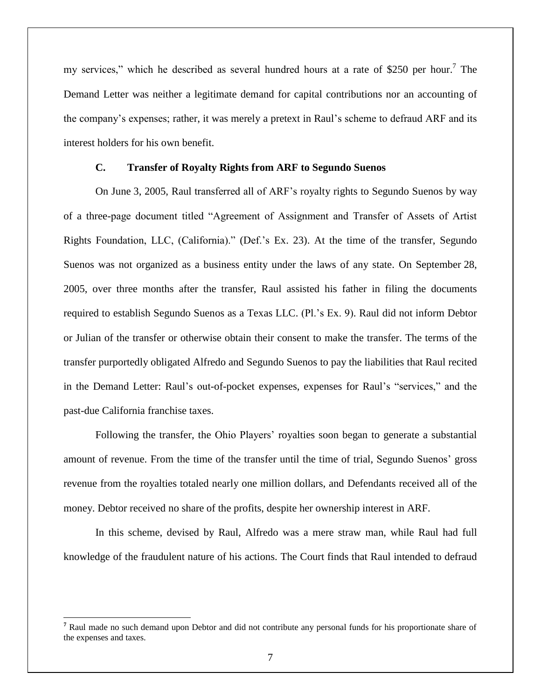my services," which he described as several hundred hours at a rate of \$250 per hour.<sup>7</sup> The Demand Letter was neither a legitimate demand for capital contributions nor an accounting of the company's expenses; rather, it was merely a pretext in Raul's scheme to defraud ARF and its interest holders for his own benefit.

## **C. Transfer of Royalty Rights from ARF to Segundo Suenos**

On June 3, 2005, Raul transferred all of ARF's royalty rights to Segundo Suenos by way of a three-page document titled "Agreement of Assignment and Transfer of Assets of Artist Rights Foundation, LLC, (California)." (Def.'s Ex. 23). At the time of the transfer, Segundo Suenos was not organized as a business entity under the laws of any state. On September 28, 2005, over three months after the transfer, Raul assisted his father in filing the documents required to establish Segundo Suenos as a Texas LLC. (Pl.'s Ex. 9). Raul did not inform Debtor or Julian of the transfer or otherwise obtain their consent to make the transfer. The terms of the transfer purportedly obligated Alfredo and Segundo Suenos to pay the liabilities that Raul recited in the Demand Letter: Raul's out-of-pocket expenses, expenses for Raul's "services," and the past-due California franchise taxes.

Following the transfer, the Ohio Players' royalties soon began to generate a substantial amount of revenue. From the time of the transfer until the time of trial, Segundo Suenos' gross revenue from the royalties totaled nearly one million dollars, and Defendants received all of the money. Debtor received no share of the profits, despite her ownership interest in ARF.

In this scheme, devised by Raul, Alfredo was a mere straw man, while Raul had full knowledge of the fraudulent nature of his actions. The Court finds that Raul intended to defraud

 $\overline{a}$ 

**<sup>7</sup>** Raul made no such demand upon Debtor and did not contribute any personal funds for his proportionate share of the expenses and taxes.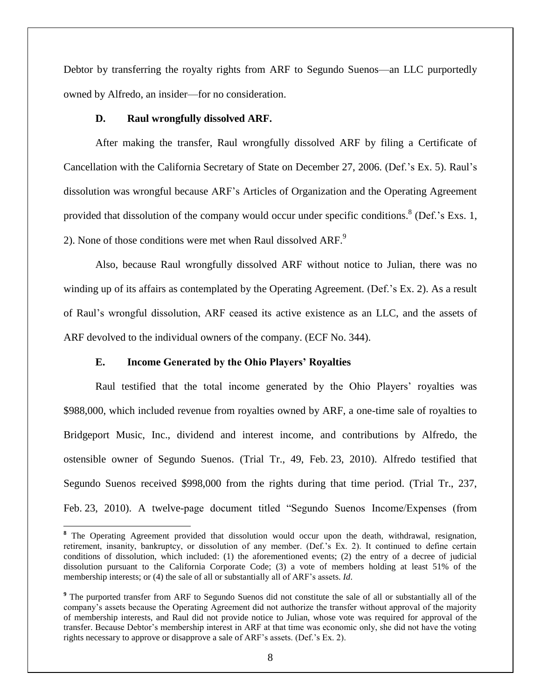Debtor by transferring the royalty rights from ARF to Segundo Suenos—an LLC purportedly owned by Alfredo, an insider—for no consideration.

### **D. Raul wrongfully dissolved ARF.**

After making the transfer, Raul wrongfully dissolved ARF by filing a Certificate of Cancellation with the California Secretary of State on December 27, 2006. (Def.'s Ex. 5). Raul's dissolution was wrongful because ARF's Articles of Organization and the Operating Agreement provided that dissolution of the company would occur under specific conditions.<sup>8</sup> (Def.'s Exs. 1, 2). None of those conditions were met when Raul dissolved ARF.<sup>9</sup>

Also, because Raul wrongfully dissolved ARF without notice to Julian, there was no winding up of its affairs as contemplated by the Operating Agreement. (Def.'s Ex. 2). As a result of Raul's wrongful dissolution, ARF ceased its active existence as an LLC, and the assets of ARF devolved to the individual owners of the company. (ECF No. 344).

### **E. Income Generated by the Ohio Players' Royalties**

 $\overline{a}$ 

Raul testified that the total income generated by the Ohio Players' royalties was \$988,000, which included revenue from royalties owned by ARF, a one-time sale of royalties to Bridgeport Music, Inc., dividend and interest income, and contributions by Alfredo, the ostensible owner of Segundo Suenos. (Trial Tr., 49, Feb. 23, 2010). Alfredo testified that Segundo Suenos received \$998,000 from the rights during that time period. (Trial Tr., 237, Feb. 23, 2010). A twelve-page document titled "Segundo Suenos Income/Expenses (from

**<sup>8</sup>** The Operating Agreement provided that dissolution would occur upon the death, withdrawal, resignation, retirement, insanity, bankruptcy, or dissolution of any member. (Def.'s Ex. 2). It continued to define certain conditions of dissolution, which included: (1) the aforementioned events; (2) the entry of a decree of judicial dissolution pursuant to the California Corporate Code; (3) a vote of members holding at least 51% of the membership interests; or (4) the sale of all or substantially all of ARF's assets. *Id*.

**<sup>9</sup>** The purported transfer from ARF to Segundo Suenos did not constitute the sale of all or substantially all of the company's assets because the Operating Agreement did not authorize the transfer without approval of the majority of membership interests, and Raul did not provide notice to Julian, whose vote was required for approval of the transfer. Because Debtor's membership interest in ARF at that time was economic only, she did not have the voting rights necessary to approve or disapprove a sale of ARF's assets. (Def.'s Ex. 2).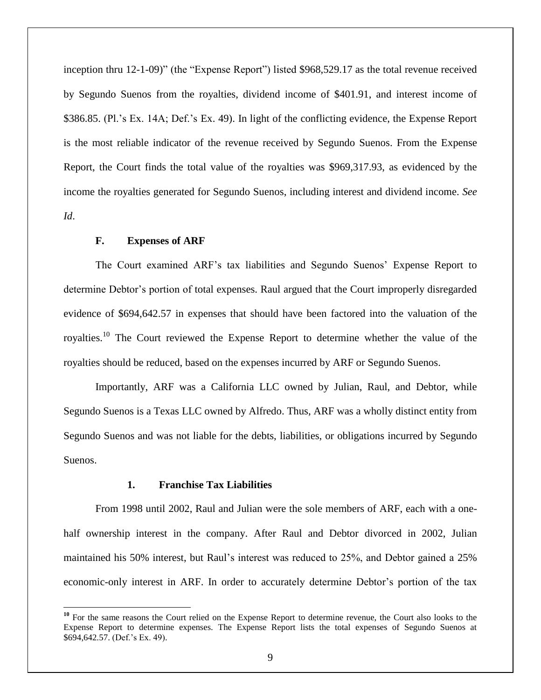inception thru 12-1-09)" (the "Expense Report") listed \$968,529.17 as the total revenue received by Segundo Suenos from the royalties, dividend income of \$401.91, and interest income of \$386.85. (Pl.'s Ex. 14A; Def.'s Ex. 49). In light of the conflicting evidence, the Expense Report is the most reliable indicator of the revenue received by Segundo Suenos. From the Expense Report, the Court finds the total value of the royalties was \$969,317.93, as evidenced by the income the royalties generated for Segundo Suenos, including interest and dividend income. *See Id*.

### **F. Expenses of ARF**

 $\overline{\phantom{a}}$ 

The Court examined ARF's tax liabilities and Segundo Suenos' Expense Report to determine Debtor's portion of total expenses. Raul argued that the Court improperly disregarded evidence of \$694,642.57 in expenses that should have been factored into the valuation of the royalties.<sup>10</sup> The Court reviewed the Expense Report to determine whether the value of the royalties should be reduced, based on the expenses incurred by ARF or Segundo Suenos.

Importantly, ARF was a California LLC owned by Julian, Raul, and Debtor, while Segundo Suenos is a Texas LLC owned by Alfredo. Thus, ARF was a wholly distinct entity from Segundo Suenos and was not liable for the debts, liabilities, or obligations incurred by Segundo Suenos.

### **1. Franchise Tax Liabilities**

From 1998 until 2002, Raul and Julian were the sole members of ARF, each with a onehalf ownership interest in the company. After Raul and Debtor divorced in 2002, Julian maintained his 50% interest, but Raul's interest was reduced to 25%, and Debtor gained a 25% economic-only interest in ARF. In order to accurately determine Debtor's portion of the tax

<sup>&</sup>lt;sup>10</sup> For the same reasons the Court relied on the Expense Report to determine revenue, the Court also looks to the Expense Report to determine expenses. The Expense Report lists the total expenses of Segundo Suenos at \$694,642.57. (Def.'s Ex. 49).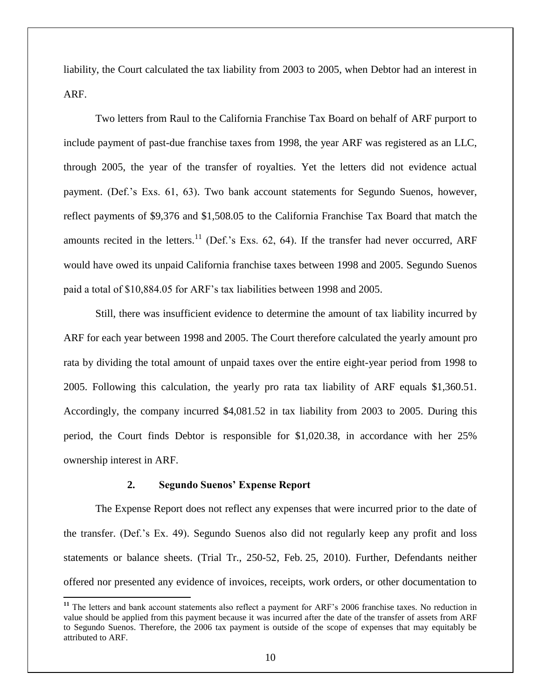liability, the Court calculated the tax liability from 2003 to 2005, when Debtor had an interest in ARF.

Two letters from Raul to the California Franchise Tax Board on behalf of ARF purport to include payment of past-due franchise taxes from 1998, the year ARF was registered as an LLC, through 2005, the year of the transfer of royalties. Yet the letters did not evidence actual payment. (Def.'s Exs. 61, 63). Two bank account statements for Segundo Suenos, however, reflect payments of \$9,376 and \$1,508.05 to the California Franchise Tax Board that match the amounts recited in the letters.<sup>11</sup> (Def.'s Exs. 62, 64). If the transfer had never occurred, ARF would have owed its unpaid California franchise taxes between 1998 and 2005. Segundo Suenos paid a total of \$10,884.05 for ARF's tax liabilities between 1998 and 2005.

Still, there was insufficient evidence to determine the amount of tax liability incurred by ARF for each year between 1998 and 2005. The Court therefore calculated the yearly amount pro rata by dividing the total amount of unpaid taxes over the entire eight-year period from 1998 to 2005. Following this calculation, the yearly pro rata tax liability of ARF equals \$1,360.51. Accordingly, the company incurred \$4,081.52 in tax liability from 2003 to 2005. During this period, the Court finds Debtor is responsible for \$1,020.38, in accordance with her 25% ownership interest in ARF.

### **2. Segundo Suenos' Expense Report**

 $\overline{\phantom{a}}$ 

The Expense Report does not reflect any expenses that were incurred prior to the date of the transfer. (Def.'s Ex. 49). Segundo Suenos also did not regularly keep any profit and loss statements or balance sheets. (Trial Tr., 250-52, Feb. 25, 2010). Further, Defendants neither offered nor presented any evidence of invoices, receipts, work orders, or other documentation to

**<sup>11</sup>** The letters and bank account statements also reflect a payment for ARF's 2006 franchise taxes. No reduction in value should be applied from this payment because it was incurred after the date of the transfer of assets from ARF to Segundo Suenos. Therefore, the 2006 tax payment is outside of the scope of expenses that may equitably be attributed to ARF.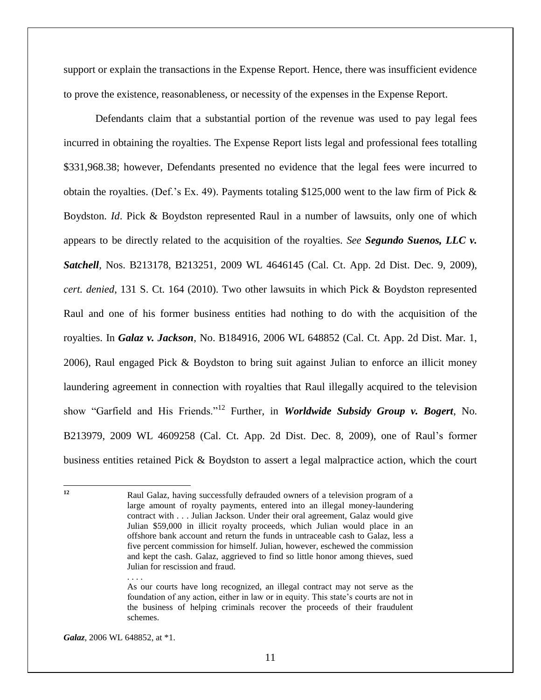support or explain the transactions in the Expense Report. Hence, there was insufficient evidence to prove the existence, reasonableness, or necessity of the expenses in the Expense Report.

Defendants claim that a substantial portion of the revenue was used to pay legal fees incurred in obtaining the royalties. The Expense Report lists legal and professional fees totalling \$331,968.38; however, Defendants presented no evidence that the legal fees were incurred to obtain the royalties. (Def.'s Ex. 49). Payments totaling \$125,000 went to the law firm of Pick & Boydston. *Id*. Pick & Boydston represented Raul in a number of lawsuits, only one of which appears to be directly related to the acquisition of the royalties. *See Segundo Suenos, LLC v. Satchell*, Nos. B213178, B213251, 2009 WL 4646145 (Cal. Ct. App. 2d Dist. Dec. 9, 2009), *cert. denied*, 131 S. Ct. 164 (2010). Two other lawsuits in which Pick & Boydston represented Raul and one of his former business entities had nothing to do with the acquisition of the royalties. In *Galaz v. Jackson*, No. B184916, 2006 WL 648852 (Cal. Ct. App. 2d Dist. Mar. 1, 2006), Raul engaged Pick & Boydston to bring suit against Julian to enforce an illicit money laundering agreement in connection with royalties that Raul illegally acquired to the television show "Garfield and His Friends."<sup>12</sup> Further, in *Worldwide Subsidy Group v. Bogert*, No. B213979, 2009 WL 4609258 (Cal. Ct. App. 2d Dist. Dec. 8, 2009), one of Raul's former business entities retained Pick & Boydston to assert a legal malpractice action, which the court

. . . .

 $12$ 

**<sup>12</sup>** Raul Galaz, having successfully defrauded owners of a television program of a large amount of royalty payments, entered into an illegal money-laundering contract with . . . Julian Jackson. Under their oral agreement, Galaz would give Julian \$59,000 in illicit royalty proceeds, which Julian would place in an offshore bank account and return the funds in untraceable cash to Galaz, less a five percent commission for himself. Julian, however, eschewed the commission and kept the cash. Galaz, aggrieved to find so little honor among thieves, sued Julian for rescission and fraud.

As our courts have long recognized, an illegal contract may not serve as the foundation of any action, either in law or in equity. This state's courts are not in the business of helping criminals recover the proceeds of their fraudulent schemes.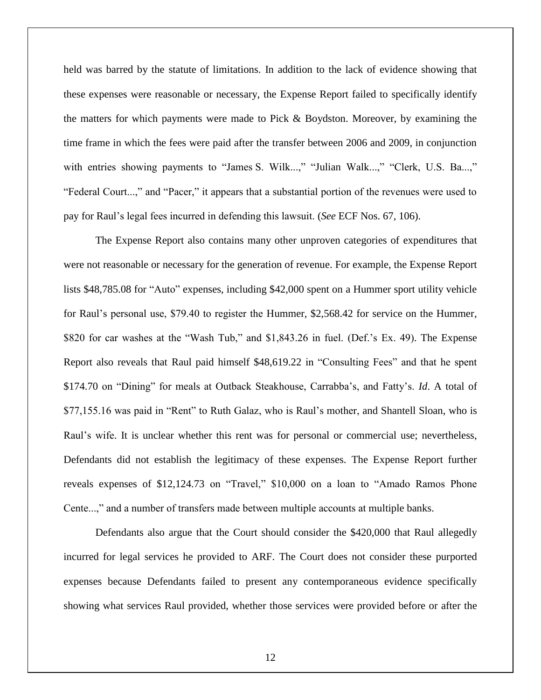held was barred by the statute of limitations. In addition to the lack of evidence showing that these expenses were reasonable or necessary, the Expense Report failed to specifically identify the matters for which payments were made to Pick & Boydston. Moreover, by examining the time frame in which the fees were paid after the transfer between 2006 and 2009, in conjunction with entries showing payments to "James S. Wilk...," "Julian Walk...," "Clerk, U.S. Ba...," "Federal Court...," and "Pacer," it appears that a substantial portion of the revenues were used to pay for Raul's legal fees incurred in defending this lawsuit. (*See* ECF Nos. 67, 106).

The Expense Report also contains many other unproven categories of expenditures that were not reasonable or necessary for the generation of revenue. For example, the Expense Report lists \$48,785.08 for "Auto" expenses, including \$42,000 spent on a Hummer sport utility vehicle for Raul's personal use, \$79.40 to register the Hummer, \$2,568.42 for service on the Hummer, \$820 for car washes at the "Wash Tub," and \$1,843.26 in fuel. (Def.'s Ex. 49). The Expense Report also reveals that Raul paid himself \$48,619.22 in "Consulting Fees" and that he spent \$174.70 on "Dining" for meals at Outback Steakhouse, Carrabba's, and Fatty's. *Id*. A total of \$77,155.16 was paid in "Rent" to Ruth Galaz, who is Raul's mother, and Shantell Sloan, who is Raul's wife. It is unclear whether this rent was for personal or commercial use; nevertheless, Defendants did not establish the legitimacy of these expenses. The Expense Report further reveals expenses of \$12,124.73 on "Travel," \$10,000 on a loan to "Amado Ramos Phone Cente...," and a number of transfers made between multiple accounts at multiple banks.

Defendants also argue that the Court should consider the \$420,000 that Raul allegedly incurred for legal services he provided to ARF. The Court does not consider these purported expenses because Defendants failed to present any contemporaneous evidence specifically showing what services Raul provided, whether those services were provided before or after the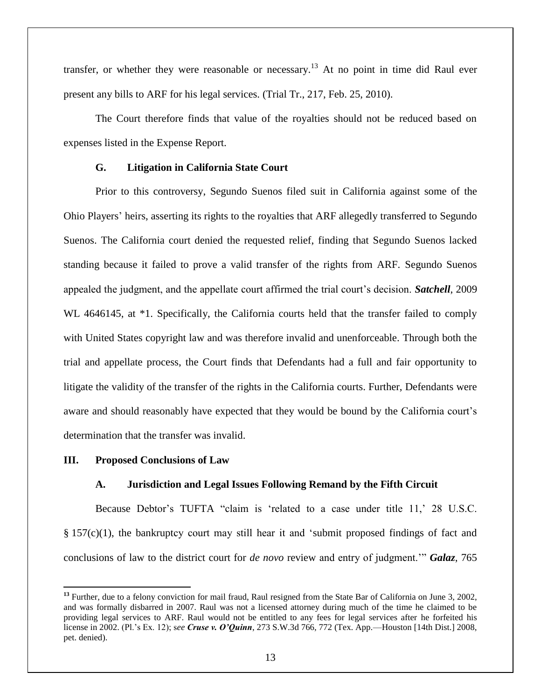transfer, or whether they were reasonable or necessary.<sup>13</sup> At no point in time did Raul ever present any bills to ARF for his legal services. (Trial Tr., 217, Feb. 25, 2010).

The Court therefore finds that value of the royalties should not be reduced based on expenses listed in the Expense Report.

## **G. Litigation in California State Court**

Prior to this controversy, Segundo Suenos filed suit in California against some of the Ohio Players' heirs, asserting its rights to the royalties that ARF allegedly transferred to Segundo Suenos. The California court denied the requested relief, finding that Segundo Suenos lacked standing because it failed to prove a valid transfer of the rights from ARF. Segundo Suenos appealed the judgment, and the appellate court affirmed the trial court's decision. *Satchell*, 2009 WL 4646145, at  $*1$ . Specifically, the California courts held that the transfer failed to comply with United States copyright law and was therefore invalid and unenforceable. Through both the trial and appellate process, the Court finds that Defendants had a full and fair opportunity to litigate the validity of the transfer of the rights in the California courts. Further, Defendants were aware and should reasonably have expected that they would be bound by the California court's determination that the transfer was invalid.

## **III. Proposed Conclusions of Law**

## **A. Jurisdiction and Legal Issues Following Remand by the Fifth Circuit**

Because Debtor's TUFTA "claim is 'related to a case under title 11,' 28 U.S.C. § 157(c)(1), the bankruptcy court may still hear it and 'submit proposed findings of fact and conclusions of law to the district court for *de novo* review and entry of judgment.'" *Galaz*, 765

 $\overline{a}$ **<sup>13</sup>** Further, due to a felony conviction for mail fraud, Raul resigned from the State Bar of California on June 3, 2002, and was formally disbarred in 2007. Raul was not a licensed attorney during much of the time he claimed to be providing legal services to ARF. Raul would not be entitled to any fees for legal services after he forfeited his license in 2002. (Pl.'s Ex. 12); s*ee Cruse v. O'Quinn*, 273 S.W.3d 766, 772 (Tex. App.—Houston [14th Dist.] 2008, pet. denied).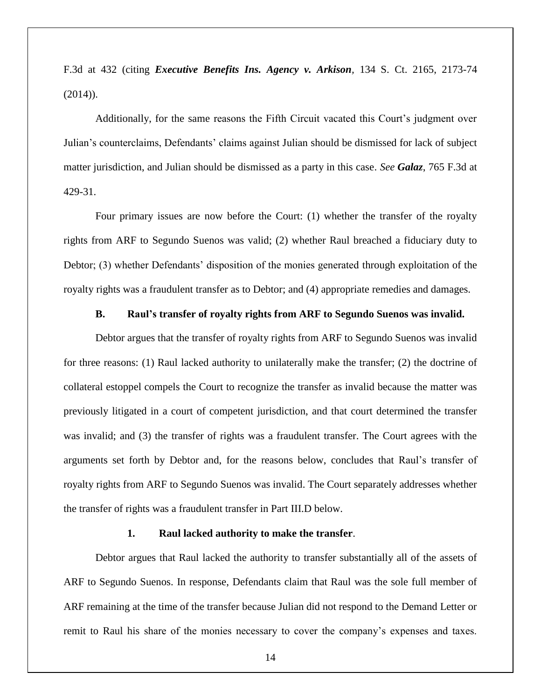F.3d at 432 (citing *Executive Benefits Ins. Agency v. Arkison,* 134 S. Ct. 2165, 2173-74  $(2014)$ ).

Additionally, for the same reasons the Fifth Circuit vacated this Court's judgment over Julian's counterclaims, Defendants' claims against Julian should be dismissed for lack of subject matter jurisdiction, and Julian should be dismissed as a party in this case. *See Galaz*, 765 F.3d at 429-31.

Four primary issues are now before the Court: (1) whether the transfer of the royalty rights from ARF to Segundo Suenos was valid; (2) whether Raul breached a fiduciary duty to Debtor; (3) whether Defendants' disposition of the monies generated through exploitation of the royalty rights was a fraudulent transfer as to Debtor; and (4) appropriate remedies and damages.

### **B. Raul's transfer of royalty rights from ARF to Segundo Suenos was invalid.**

Debtor argues that the transfer of royalty rights from ARF to Segundo Suenos was invalid for three reasons: (1) Raul lacked authority to unilaterally make the transfer; (2) the doctrine of collateral estoppel compels the Court to recognize the transfer as invalid because the matter was previously litigated in a court of competent jurisdiction, and that court determined the transfer was invalid; and (3) the transfer of rights was a fraudulent transfer. The Court agrees with the arguments set forth by Debtor and, for the reasons below, concludes that Raul's transfer of royalty rights from ARF to Segundo Suenos was invalid. The Court separately addresses whether the transfer of rights was a fraudulent transfer in Part III.D below.

### **1. Raul lacked authority to make the transfer**.

Debtor argues that Raul lacked the authority to transfer substantially all of the assets of ARF to Segundo Suenos. In response, Defendants claim that Raul was the sole full member of ARF remaining at the time of the transfer because Julian did not respond to the Demand Letter or remit to Raul his share of the monies necessary to cover the company's expenses and taxes.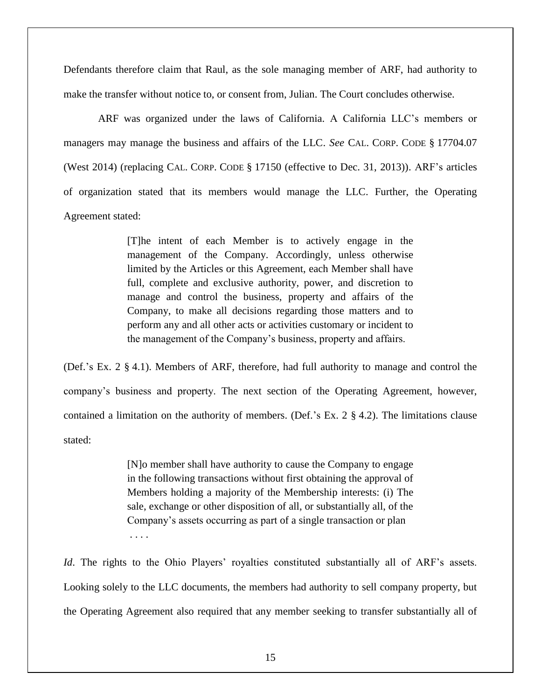Defendants therefore claim that Raul, as the sole managing member of ARF, had authority to make the transfer without notice to, or consent from, Julian. The Court concludes otherwise.

ARF was organized under the laws of California. A California LLC's members or managers may manage the business and affairs of the LLC. *See* CAL. CORP. CODE § 17704.07 (West 2014) (replacing CAL. CORP. CODE § 17150 (effective to Dec. 31, 2013)). ARF's articles of organization stated that its members would manage the LLC. Further, the Operating Agreement stated:

> [T]he intent of each Member is to actively engage in the management of the Company. Accordingly, unless otherwise limited by the Articles or this Agreement, each Member shall have full, complete and exclusive authority, power, and discretion to manage and control the business, property and affairs of the Company, to make all decisions regarding those matters and to perform any and all other acts or activities customary or incident to the management of the Company's business, property and affairs.

(Def.'s Ex. 2 § 4.1). Members of ARF, therefore, had full authority to manage and control the company's business and property. The next section of the Operating Agreement, however, contained a limitation on the authority of members. (Def.'s Ex. 2 § 4.2). The limitations clause stated:

> [N]o member shall have authority to cause the Company to engage in the following transactions without first obtaining the approval of Members holding a majority of the Membership interests: (i) The sale, exchange or other disposition of all, or substantially all, of the Company's assets occurring as part of a single transaction or plan . . . .

*Id*. The rights to the Ohio Players' royalties constituted substantially all of ARF's assets. Looking solely to the LLC documents, the members had authority to sell company property, but the Operating Agreement also required that any member seeking to transfer substantially all of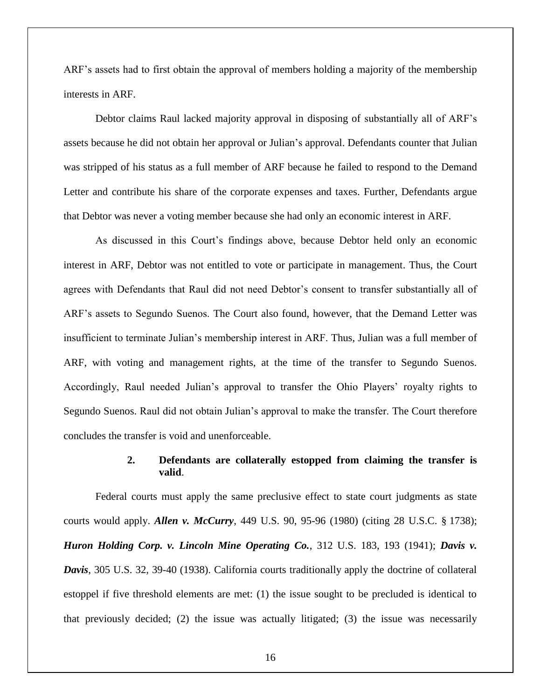ARF's assets had to first obtain the approval of members holding a majority of the membership interests in ARF.

Debtor claims Raul lacked majority approval in disposing of substantially all of ARF's assets because he did not obtain her approval or Julian's approval. Defendants counter that Julian was stripped of his status as a full member of ARF because he failed to respond to the Demand Letter and contribute his share of the corporate expenses and taxes. Further, Defendants argue that Debtor was never a voting member because she had only an economic interest in ARF.

As discussed in this Court's findings above, because Debtor held only an economic interest in ARF, Debtor was not entitled to vote or participate in management. Thus, the Court agrees with Defendants that Raul did not need Debtor's consent to transfer substantially all of ARF's assets to Segundo Suenos. The Court also found, however, that the Demand Letter was insufficient to terminate Julian's membership interest in ARF. Thus, Julian was a full member of ARF, with voting and management rights, at the time of the transfer to Segundo Suenos. Accordingly, Raul needed Julian's approval to transfer the Ohio Players' royalty rights to Segundo Suenos. Raul did not obtain Julian's approval to make the transfer. The Court therefore concludes the transfer is void and unenforceable.

## **2. Defendants are collaterally estopped from claiming the transfer is valid**.

Federal courts must apply the same preclusive effect to state court judgments as state courts would apply. *Allen v. McCurry*, 449 U.S. 90, 95-96 (1980) (citing 28 U.S.C. § 1738); *Huron Holding Corp. v. Lincoln Mine Operating Co.*, 312 U.S. 183, 193 (1941); *Davis v. Davis*, 305 U.S. 32, 39-40 (1938). California courts traditionally apply the doctrine of collateral estoppel if five threshold elements are met: (1) the issue sought to be precluded is identical to that previously decided; (2) the issue was actually litigated; (3) the issue was necessarily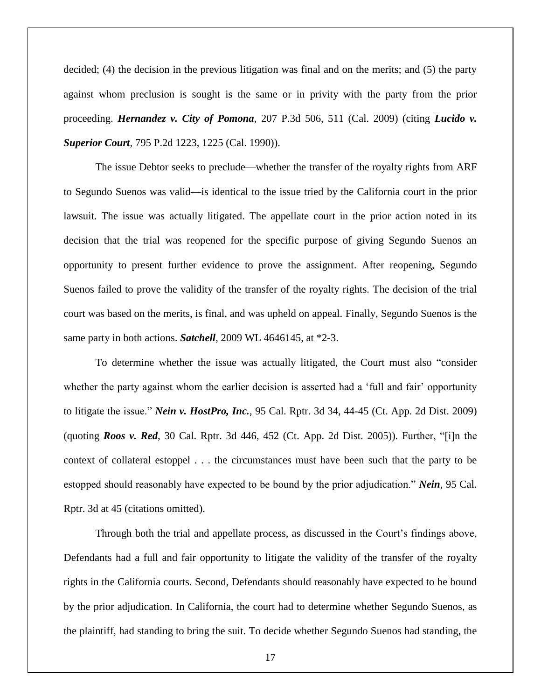decided; (4) the decision in the previous litigation was final and on the merits; and (5) the party against whom preclusion is sought is the same or in privity with the party from the prior proceeding. *Hernandez v. City of Pomona*, 207 P.3d 506, 511 (Cal. 2009) (citing *Lucido v. Superior Court*, 795 P.2d 1223, 1225 (Cal. 1990)).

The issue Debtor seeks to preclude—whether the transfer of the royalty rights from ARF to Segundo Suenos was valid—is identical to the issue tried by the California court in the prior lawsuit. The issue was actually litigated. The appellate court in the prior action noted in its decision that the trial was reopened for the specific purpose of giving Segundo Suenos an opportunity to present further evidence to prove the assignment. After reopening, Segundo Suenos failed to prove the validity of the transfer of the royalty rights. The decision of the trial court was based on the merits, is final, and was upheld on appeal. Finally, Segundo Suenos is the same party in both actions. *Satchell*, 2009 WL 4646145, at \*2-3.

To determine whether the issue was actually litigated, the Court must also "consider whether the party against whom the earlier decision is asserted had a 'full and fair' opportunity to litigate the issue." *Nein v. HostPro, Inc.*, 95 Cal. Rptr. 3d 34, 44-45 (Ct. App. 2d Dist. 2009) (quoting *Roos v. Red*, 30 Cal. Rptr. 3d 446, 452 (Ct. App. 2d Dist. 2005)). Further, "[i]n the context of collateral estoppel . . . the circumstances must have been such that the party to be estopped should reasonably have expected to be bound by the prior adjudication." *Nein*, 95 Cal. Rptr. 3d at 45 (citations omitted).

Through both the trial and appellate process, as discussed in the Court's findings above, Defendants had a full and fair opportunity to litigate the validity of the transfer of the royalty rights in the California courts. Second, Defendants should reasonably have expected to be bound by the prior adjudication. In California, the court had to determine whether Segundo Suenos, as the plaintiff, had standing to bring the suit. To decide whether Segundo Suenos had standing, the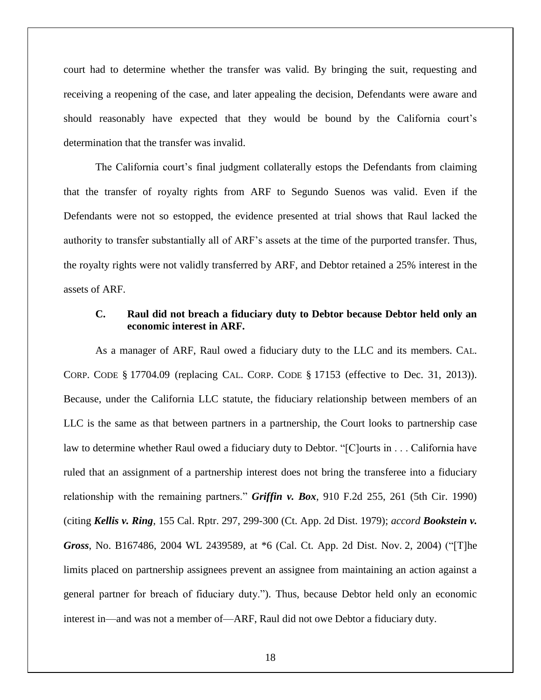court had to determine whether the transfer was valid. By bringing the suit, requesting and receiving a reopening of the case, and later appealing the decision, Defendants were aware and should reasonably have expected that they would be bound by the California court's determination that the transfer was invalid.

The California court's final judgment collaterally estops the Defendants from claiming that the transfer of royalty rights from ARF to Segundo Suenos was valid. Even if the Defendants were not so estopped, the evidence presented at trial shows that Raul lacked the authority to transfer substantially all of ARF's assets at the time of the purported transfer. Thus, the royalty rights were not validly transferred by ARF, and Debtor retained a 25% interest in the assets of ARF.

### **C. Raul did not breach a fiduciary duty to Debtor because Debtor held only an economic interest in ARF.**

As a manager of ARF, Raul owed a fiduciary duty to the LLC and its members. CAL. CORP. CODE § 17704.09 (replacing CAL. CORP. CODE § 17153 (effective to Dec. 31, 2013)). Because, under the California LLC statute, the fiduciary relationship between members of an LLC is the same as that between partners in a partnership, the Court looks to partnership case law to determine whether Raul owed a fiduciary duty to Debtor. "[C]ourts in . . . California have ruled that an assignment of a partnership interest does not bring the transferee into a fiduciary relationship with the remaining partners." *Griffin v. Box*, 910 F.2d 255, 261 (5th Cir. 1990) (citing *Kellis v. Ring*, 155 Cal. Rptr. 297, 299-300 (Ct. App. 2d Dist. 1979); *accord Bookstein v. Gross*, No. B167486, 2004 WL 2439589, at \*6 (Cal. Ct. App. 2d Dist. Nov. 2, 2004) ("[T]he limits placed on partnership assignees prevent an assignee from maintaining an action against a general partner for breach of fiduciary duty."). Thus, because Debtor held only an economic interest in—and was not a member of—ARF, Raul did not owe Debtor a fiduciary duty.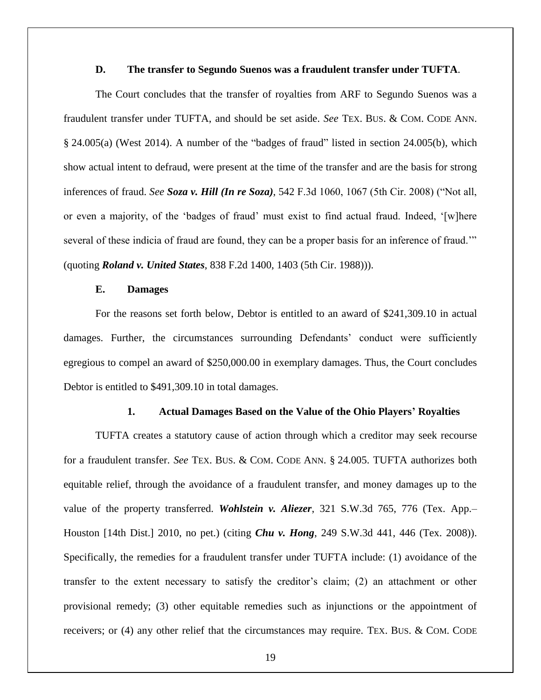### **D. The transfer to Segundo Suenos was a fraudulent transfer under TUFTA**.

The Court concludes that the transfer of royalties from ARF to Segundo Suenos was a fraudulent transfer under TUFTA, and should be set aside. *See* TEX. BUS. & COM. CODE ANN. § 24.005(a) (West 2014). A number of the "badges of fraud" listed in section 24.005(b), which show actual intent to defraud, were present at the time of the transfer and are the basis for strong inferences of fraud. *See Soza v. Hill (In re Soza)*, 542 F.3d 1060, 1067 (5th Cir. 2008) ("Not all, or even a majority, of the 'badges of fraud' must exist to find actual fraud. Indeed, '[w]here several of these indicia of fraud are found, they can be a proper basis for an inference of fraud.'" (quoting *Roland v. United States*, 838 F.2d 1400, 1403 (5th Cir. 1988))).

### **E. Damages**

For the reasons set forth below, Debtor is entitled to an award of \$241,309.10 in actual damages. Further, the circumstances surrounding Defendants' conduct were sufficiently egregious to compel an award of \$250,000.00 in exemplary damages. Thus, the Court concludes Debtor is entitled to \$491,309.10 in total damages.

### **1. Actual Damages Based on the Value of the Ohio Players' Royalties**

TUFTA creates a statutory cause of action through which a creditor may seek recourse for a fraudulent transfer. *See* TEX. BUS. & COM. CODE ANN. § 24.005. TUFTA authorizes both equitable relief, through the avoidance of a fraudulent transfer, and money damages up to the value of the property transferred. *Wohlstein v. Aliezer*, 321 S.W.3d 765, 776 (Tex. App.– Houston [14th Dist.] 2010, no pet.) (citing *Chu v. Hong*, 249 S.W.3d 441, 446 (Tex. 2008)). Specifically, the remedies for a fraudulent transfer under TUFTA include: (1) avoidance of the transfer to the extent necessary to satisfy the creditor's claim; (2) an attachment or other provisional remedy; (3) other equitable remedies such as injunctions or the appointment of receivers; or (4) any other relief that the circumstances may require. TEX. BUS. & COM. CODE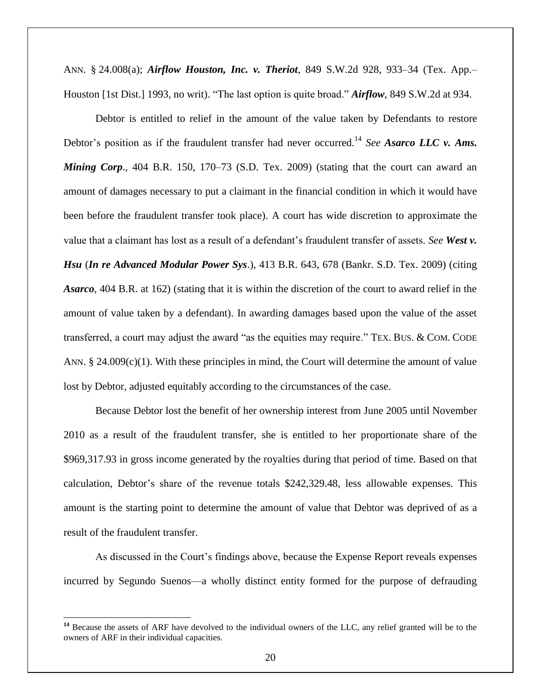ANN. § 24.008(a); *Airflow Houston, Inc. v. Theriot*, 849 S.W.2d 928, 933–34 (Tex. App.– Houston [1st Dist.] 1993, no writ). "The last option is quite broad." *Airflow*, 849 S.W.2d at 934.

Debtor is entitled to relief in the amount of the value taken by Defendants to restore Debtor's position as if the fraudulent transfer had never occurred.<sup>14</sup> *See Asarco LLC v. Ams. Mining Corp.*, 404 B.R. 150, 170–73 (S.D. Tex. 2009) (stating that the court can award an amount of damages necessary to put a claimant in the financial condition in which it would have been before the fraudulent transfer took place). A court has wide discretion to approximate the value that a claimant has lost as a result of a defendant's fraudulent transfer of assets. *See West v. Hsu* (*In re Advanced Modular Power Sys*.), 413 B.R. 643, 678 (Bankr. S.D. Tex. 2009) (citing *Asarco*, 404 B.R. at 162) (stating that it is within the discretion of the court to award relief in the amount of value taken by a defendant). In awarding damages based upon the value of the asset transferred, a court may adjust the award "as the equities may require." TEX. BUS. & COM. CODE ANN.  $\S$  24.009(c)(1). With these principles in mind, the Court will determine the amount of value lost by Debtor, adjusted equitably according to the circumstances of the case.

Because Debtor lost the benefit of her ownership interest from June 2005 until November 2010 as a result of the fraudulent transfer, she is entitled to her proportionate share of the \$969,317.93 in gross income generated by the royalties during that period of time. Based on that calculation, Debtor's share of the revenue totals \$242,329.48, less allowable expenses. This amount is the starting point to determine the amount of value that Debtor was deprived of as a result of the fraudulent transfer.

As discussed in the Court's findings above, because the Expense Report reveals expenses incurred by Segundo Suenos—a wholly distinct entity formed for the purpose of defrauding

 $\overline{a}$ 

<sup>&</sup>lt;sup>14</sup> Because the assets of ARF have devolved to the individual owners of the LLC, any relief granted will be to the owners of ARF in their individual capacities.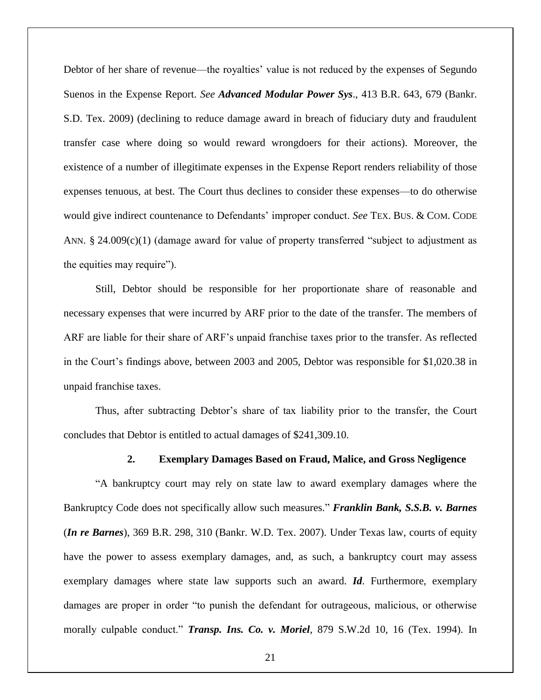Debtor of her share of revenue—the royalties' value is not reduced by the expenses of Segundo Suenos in the Expense Report. *See Advanced Modular Power Sys*., 413 B.R. 643, 679 (Bankr. S.D. Tex. 2009) (declining to reduce damage award in breach of fiduciary duty and fraudulent transfer case where doing so would reward wrongdoers for their actions). Moreover, the existence of a number of illegitimate expenses in the Expense Report renders reliability of those expenses tenuous, at best. The Court thus declines to consider these expenses—to do otherwise would give indirect countenance to Defendants' improper conduct. *See* TEX. BUS. & COM. CODE ANN.  $\S$  24.009(c)(1) (damage award for value of property transferred "subject to adjustment as the equities may require").

Still, Debtor should be responsible for her proportionate share of reasonable and necessary expenses that were incurred by ARF prior to the date of the transfer. The members of ARF are liable for their share of ARF's unpaid franchise taxes prior to the transfer. As reflected in the Court's findings above, between 2003 and 2005, Debtor was responsible for \$1,020.38 in unpaid franchise taxes.

Thus, after subtracting Debtor's share of tax liability prior to the transfer, the Court concludes that Debtor is entitled to actual damages of \$241,309.10.

### **2. Exemplary Damages Based on Fraud, Malice, and Gross Negligence**

"A bankruptcy court may rely on state law to award exemplary damages where the Bankruptcy Code does not specifically allow such measures." *Franklin Bank, S.S.B. v. Barnes*  (*In re Barnes*), 369 B.R. 298, 310 (Bankr. W.D. Tex. 2007). Under Texas law, courts of equity have the power to assess exemplary damages, and, as such, a bankruptcy court may assess exemplary damages where state law supports such an award. *Id*. Furthermore, exemplary damages are proper in order "to punish the defendant for outrageous, malicious, or otherwise morally culpable conduct." *Transp. Ins. Co. v. Moriel*, 879 S.W.2d 10, 16 (Tex. 1994). In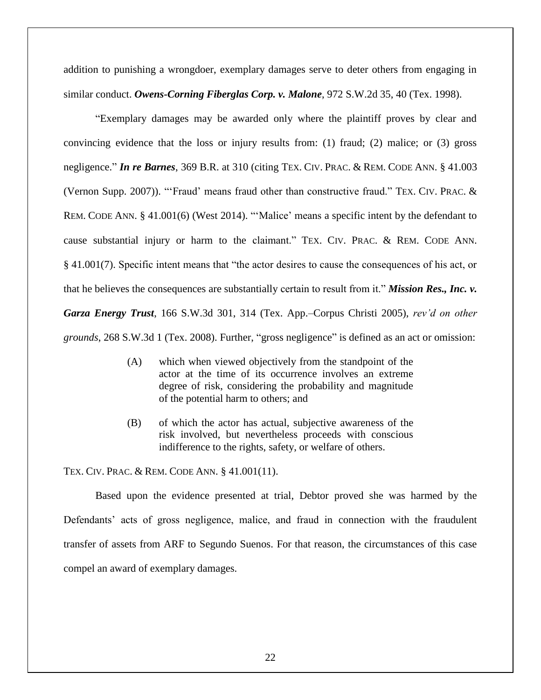addition to punishing a wrongdoer, exemplary damages serve to deter others from engaging in similar conduct. *Owens-Corning Fiberglas Corp. v. Malone*, 972 S.W.2d 35, 40 (Tex. 1998).

"Exemplary damages may be awarded only where the plaintiff proves by clear and convincing evidence that the loss or injury results from: (1) fraud; (2) malice; or (3) gross negligence." *In re Barnes*, 369 B.R. at 310 (citing TEX. CIV. PRAC. & REM. CODE ANN. § 41.003 (Vernon Supp. 2007)). "'Fraud' means fraud other than constructive fraud." TEX. CIV. PRAC. & REM. CODE ANN. § 41.001(6) (West 2014). "'Malice' means a specific intent by the defendant to cause substantial injury or harm to the claimant." TEX. CIV. PRAC. & REM. CODE ANN. § 41.001(7). Specific intent means that "the actor desires to cause the consequences of his act, or that he believes the consequences are substantially certain to result from it." *Mission Res., Inc. v. Garza Energy Trust*, 166 S.W.3d 301, 314 (Tex. App.–Corpus Christi 2005), *rev'd on other grounds*, 268 S.W.3d 1 (Tex. 2008). Further, "gross negligence" is defined as an act or omission:

- (A) which when viewed objectively from the standpoint of the actor at the time of its occurrence involves an extreme degree of risk, considering the probability and magnitude of the potential harm to others; and
- (B) of which the actor has actual, subjective awareness of the risk involved, but nevertheless proceeds with conscious indifference to the rights, safety, or welfare of others.

TEX. CIV. PRAC. & REM. CODE ANN. § 41.001(11).

Based upon the evidence presented at trial, Debtor proved she was harmed by the Defendants' acts of gross negligence, malice, and fraud in connection with the fraudulent transfer of assets from ARF to Segundo Suenos. For that reason, the circumstances of this case compel an award of exemplary damages.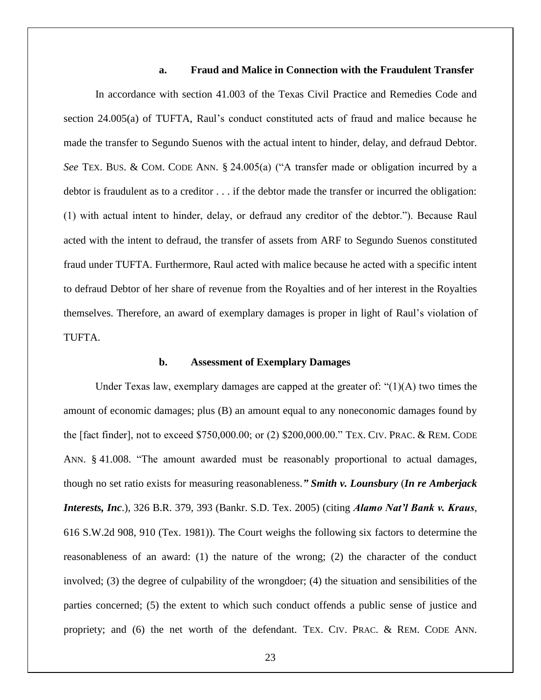### **a. Fraud and Malice in Connection with the Fraudulent Transfer**

In accordance with section 41.003 of the Texas Civil Practice and Remedies Code and section 24.005(a) of TUFTA, Raul's conduct constituted acts of fraud and malice because he made the transfer to Segundo Suenos with the actual intent to hinder, delay, and defraud Debtor. *See* TEX. BUS. & COM. CODE ANN. § 24.005(a) ("A transfer made or obligation incurred by a debtor is fraudulent as to a creditor . . . if the debtor made the transfer or incurred the obligation: (1) with actual intent to hinder, delay, or defraud any creditor of the debtor."). Because Raul acted with the intent to defraud, the transfer of assets from ARF to Segundo Suenos constituted fraud under TUFTA. Furthermore, Raul acted with malice because he acted with a specific intent to defraud Debtor of her share of revenue from the Royalties and of her interest in the Royalties themselves. Therefore, an award of exemplary damages is proper in light of Raul's violation of TUFTA.

### **b. Assessment of Exemplary Damages**

Under Texas law, exemplary damages are capped at the greater of: " $(1)(A)$  two times the amount of economic damages; plus (B) an amount equal to any noneconomic damages found by the [fact finder], not to exceed \$750,000.00; or (2) \$200,000.00." TEX. CIV. PRAC. & REM. CODE ANN. § 41.008. "The amount awarded must be reasonably proportional to actual damages, though no set ratio exists for measuring reasonableness.*" Smith v. Lounsbury* (*In re Amberjack Interests, Inc*.), 326 B.R. 379, 393 (Bankr. S.D. Tex. 2005) (citing *Alamo Nat'l Bank v. Kraus*, 616 S.W.2d 908, 910 (Tex. 1981)). The Court weighs the following six factors to determine the reasonableness of an award: (1) the nature of the wrong; (2) the character of the conduct involved; (3) the degree of culpability of the wrongdoer; (4) the situation and sensibilities of the parties concerned; (5) the extent to which such conduct offends a public sense of justice and propriety; and (6) the net worth of the defendant. TEX. CIV. PRAC. & REM. CODE ANN.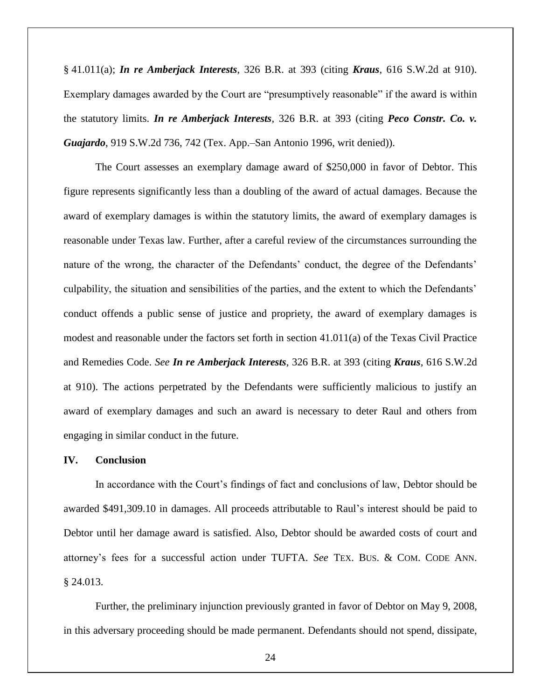§ 41.011(a); *In re Amberjack Interests*, 326 B.R. at 393 (citing *Kraus*, 616 S.W.2d at 910). Exemplary damages awarded by the Court are "presumptively reasonable" if the award is within the statutory limits. *In re Amberjack Interests*, 326 B.R. at 393 (citing *Peco Constr. Co. v. Guajardo*, 919 S.W.2d 736, 742 (Tex. App.–San Antonio 1996, writ denied)).

The Court assesses an exemplary damage award of \$250,000 in favor of Debtor. This figure represents significantly less than a doubling of the award of actual damages. Because the award of exemplary damages is within the statutory limits, the award of exemplary damages is reasonable under Texas law. Further, after a careful review of the circumstances surrounding the nature of the wrong, the character of the Defendants' conduct, the degree of the Defendants' culpability, the situation and sensibilities of the parties, and the extent to which the Defendants' conduct offends a public sense of justice and propriety, the award of exemplary damages is modest and reasonable under the factors set forth in section 41.011(a) of the Texas Civil Practice and Remedies Code. *See In re Amberjack Interests*, 326 B.R. at 393 (citing *Kraus*, 616 S.W.2d at 910). The actions perpetrated by the Defendants were sufficiently malicious to justify an award of exemplary damages and such an award is necessary to deter Raul and others from engaging in similar conduct in the future.

### **IV. Conclusion**

In accordance with the Court's findings of fact and conclusions of law, Debtor should be awarded \$491,309.10 in damages. All proceeds attributable to Raul's interest should be paid to Debtor until her damage award is satisfied. Also, Debtor should be awarded costs of court and attorney's fees for a successful action under TUFTA. *See* TEX. BUS. & COM. CODE ANN. § 24.013.

Further, the preliminary injunction previously granted in favor of Debtor on May 9, 2008, in this adversary proceeding should be made permanent. Defendants should not spend, dissipate,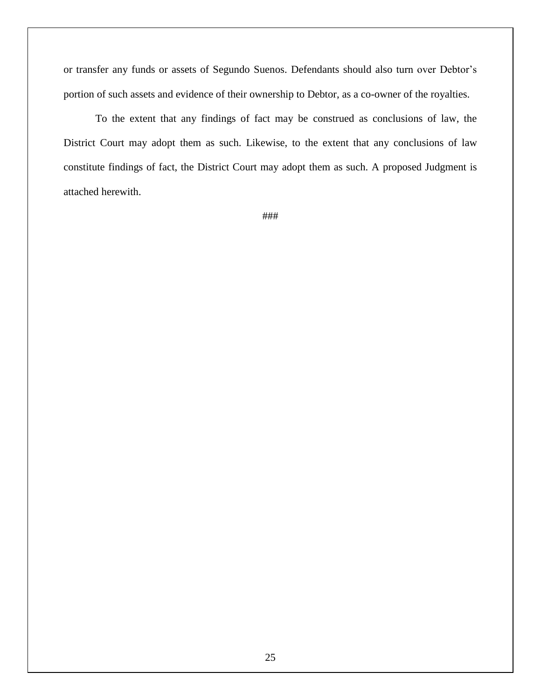or transfer any funds or assets of Segundo Suenos. Defendants should also turn over Debtor's portion of such assets and evidence of their ownership to Debtor, as a co-owner of the royalties.

To the extent that any findings of fact may be construed as conclusions of law, the District Court may adopt them as such. Likewise, to the extent that any conclusions of law constitute findings of fact, the District Court may adopt them as such. A proposed Judgment is attached herewith.

###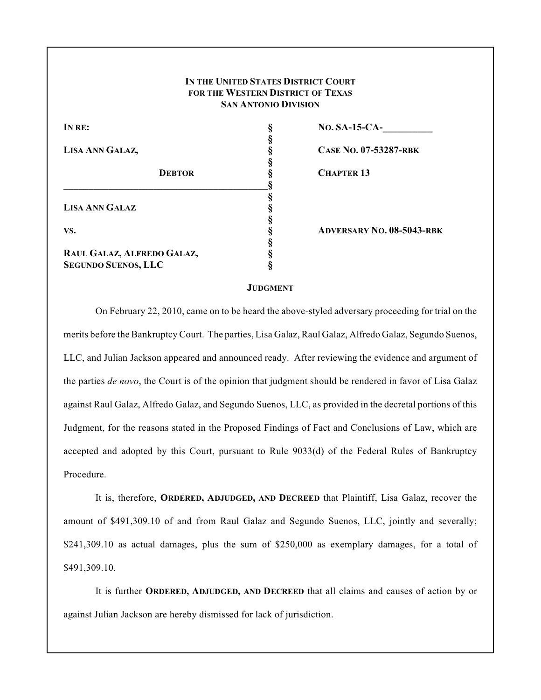| IN THE UNITED STATES DISTRICT COURT |
|-------------------------------------|
| FOR THE WESTERN DISTRICT OF TEXAS   |
| <b>SAN ANTONIO DIVISION</b>         |

| IN RE:                     | <b>NO. SA-15-CA-</b>             |  |
|----------------------------|----------------------------------|--|
|                            |                                  |  |
| LISA ANN GALAZ,            | <b>CASE NO. 07-53287-RBK</b>     |  |
|                            |                                  |  |
| <b>DEBTOR</b>              | <b>CHAPTER 13</b>                |  |
|                            |                                  |  |
|                            |                                  |  |
| <b>LISA ANN GALAZ</b>      |                                  |  |
|                            |                                  |  |
| VS.                        | <b>ADVERSARY NO. 08-5043-RBK</b> |  |
|                            |                                  |  |
| RAUL GALAZ, ALFREDO GALAZ, |                                  |  |
| <b>SEGUNDO SUENOS, LLC</b> |                                  |  |

#### **JUDGMENT**

On February 22, 2010, came on to be heard the above-styled adversary proceeding for trial on the merits before the Bankruptcy Court. The parties, Lisa Galaz, Raul Galaz, Alfredo Galaz, Segundo Suenos, LLC, and Julian Jackson appeared and announced ready. After reviewing the evidence and argument of the parties *de novo*, the Court is of the opinion that judgment should be rendered in favor of Lisa Galaz against Raul Galaz, Alfredo Galaz, and Segundo Suenos, LLC, as provided in the decretal portions of this Judgment, for the reasons stated in the Proposed Findings of Fact and Conclusions of Law, which are accepted and adopted by this Court, pursuant to Rule 9033(d) of the Federal Rules of Bankruptcy Procedure.

It is, therefore, **ORDERED, ADJUDGED, AND DECREED** that Plaintiff, Lisa Galaz, recover the amount of \$491,309.10 of and from Raul Galaz and Segundo Suenos, LLC, jointly and severally; \$241,309.10 as actual damages, plus the sum of \$250,000 as exemplary damages, for a total of \$491,309.10.

It is further **ORDERED, ADJUDGED, AND DECREED** that all claims and causes of action by or against Julian Jackson are hereby dismissed for lack of jurisdiction.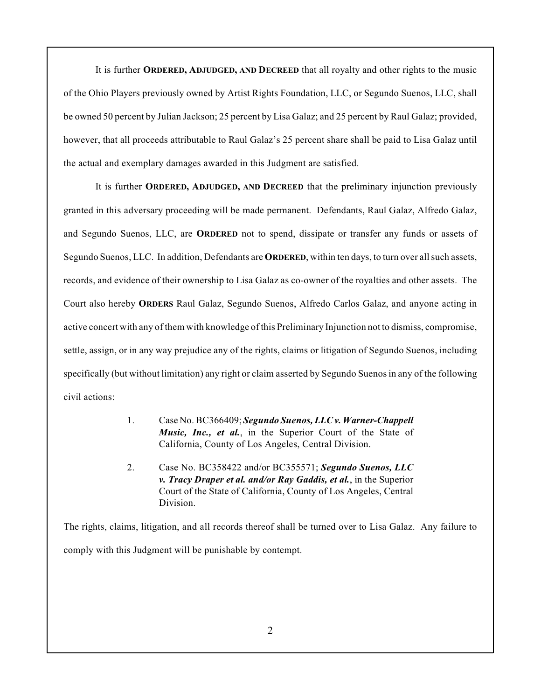It is further **ORDERED, ADJUDGED, AND DECREED** that all royalty and other rights to the music of the Ohio Players previously owned by Artist Rights Foundation, LLC, or Segundo Suenos, LLC, shall be owned 50 percent by Julian Jackson; 25 percent by Lisa Galaz; and 25 percent by Raul Galaz; provided, however, that all proceeds attributable to Raul Galaz's 25 percent share shall be paid to Lisa Galaz until the actual and exemplary damages awarded in this Judgment are satisfied.

It is further **ORDERED, ADJUDGED, AND DECREED** that the preliminary injunction previously granted in this adversary proceeding will be made permanent. Defendants, Raul Galaz, Alfredo Galaz, and Segundo Suenos, LLC, are **ORDERED** not to spend, dissipate or transfer any funds or assets of Segundo Suenos, LLC. In addition, Defendants are **ORDERED**, within ten days, to turn over all such assets, records, and evidence of their ownership to Lisa Galaz as co-owner of the royalties and other assets. The Court also hereby **ORDERS** Raul Galaz, Segundo Suenos, Alfredo Carlos Galaz, and anyone acting in active concert with any of them with knowledge of this Preliminary Injunction not to dismiss, compromise, settle, assign, or in any way prejudice any of the rights, claims or litigation of Segundo Suenos, including specifically (but without limitation) any right or claim asserted by Segundo Suenos in any of the following civil actions:

- 1. Case No. BC366409; *Segundo Suenos, LLC v. Warner-Chappell Music, Inc., et al.*, in the Superior Court of the State of California, County of Los Angeles, Central Division.
- 2. Case No. BC358422 and/or BC355571; *Segundo Suenos, LLC v. Tracy Draper et al. and/or Ray Gaddis, et al.*, in the Superior Court of the State of California, County of Los Angeles, Central Division.

The rights, claims, litigation, and all records thereof shall be turned over to Lisa Galaz. Any failure to comply with this Judgment will be punishable by contempt.